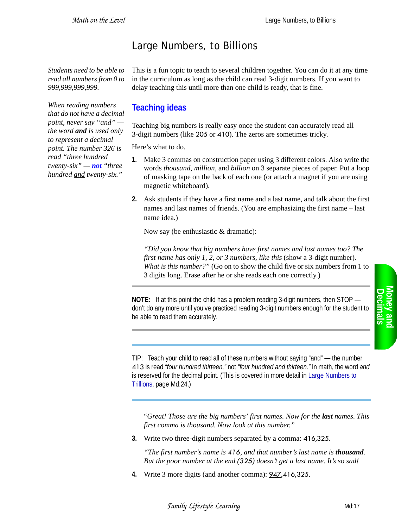## Large Numbers, to Billions

*Students need to be able to read all numbers from 0 to 999,999,999,999.*

This is a fun topic to teach to several children together. You can do it at any time in the curriculum as long as the child can read 3-digit numbers. If you want to delay teaching this until more than one child is ready, that is fine.

## *When reading numbers that do not have a decimal point, never say "and" the word and is used only to represent a decimal point. The number 326 is read "three hundred twenty-six" — not "three hundred and twenty-six."*

## **Teaching ideas**

Teaching big numbers is really easy once the student can accurately read all 3-digit numbers (like 205 or 410). The zeros are sometimes tricky.

Here's what to do.

- **1.** Make 3 commas on construction paper using 3 different colors. Also write the words *thousand*, *million*, and *billion* on 3 separate pieces of paper. Put a loop of masking tape on the back of each one (or attach a magnet if you are using magnetic whiteboard).
- **2.** Ask students if they have a first name and a last name, and talk about the first names and last names of friends. (You are emphasizing the first name – last name idea.)

Now say (be enthusiastic & dramatic):

*"Did you know that big numbers have first names and last names too? The first name has only 1, 2, or 3 numbers, like this* (show a 3-digit number)*. What is this number?"* (Go on to show the child five or six numbers from 1 to 3 digits long. Erase after he or she reads each one correctly.)

**NOTE:** If at this point the child has a problem reading 3-digit numbers, then STOP don't do any more until you've practiced reading 3-digit numbers enough for the student to be able to read them accurately.

TIP: Teach your child to read all of these numbers without saying "and" — the number 413 is read *"four hundred thirteen,"* not *"four hundred and thirteen."* In math, the word *and* is reserved for the decimal point. (This is covered in more detail in Large Numbers to Trillions, page Md:24.)

"*Great! Those are the big numbers' first names. Now for the last names. This first comma is thousand. Now look at this number."* 

**3.** Write two three-digit numbers separated by a comma: 416,325.

*"The first number's name is 416, and that number's last name is thousand. But the poor number at the end (325) doesn't get a last name. It's so sad!*

**4.** Write 3 more digits (and another comma): 947,416,325.